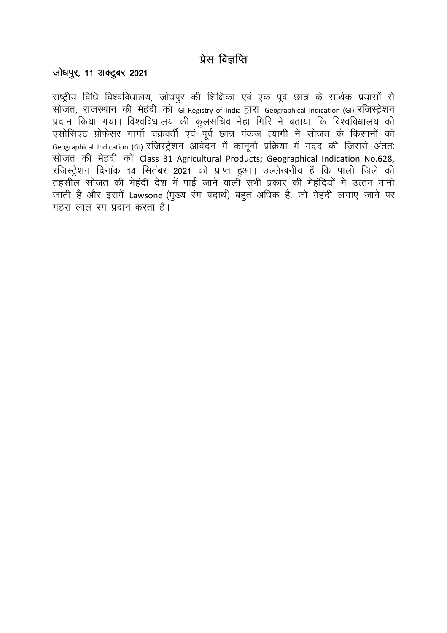## प्रेस विज्ञप्ति

## जोधपूर, 11 अक्टूबर 2021

राष्ट्रीय विधि विश्वविधालय, जोधपुर की शिक्षिका एवं एक पूर्व छात्र के सार्थक प्रयासों से सोजत, राजस्थान की मेहंदी को GI Registry of India द्वारा Geographical Indication (GI) रजिस्ट्रेशन प्रदान किया गया। विश्वविधालय की कुलसचिव नेहा गिरि ने बताया कि विश्वविधालय की एसोसिएट प्रोफेसर गार्गी चक्रवर्ती एवं पूर्व छात्र पंकज त्यागी ने सोजत के किसानों की Geographical Indication (GI) रजिस्ट्रेशन आवेदन में कानूनी प्रक्रिया में मदद की जिससे अंततः सोजत की मेहंदी को Class 31 Agricultural Products; Geographical Indication No.628, रजिस्ट्रेशन दिनांक 14 सितंबर 2021 को प्राप्त हुआ। उल्लेखनीय हैं कि पाली जिले की तहसील सोजत की मेहंदी देश में पाई जाने वाली सभी प्रकार की मेहंदियों मे उत्तम मानी जाती है और इसमें Lawsone (मख्य रंग पदार्थ) बहुत अधिक है, जो मेहंदी लगाए जाने पर गहरा लाल रंग प्रदान करता है।